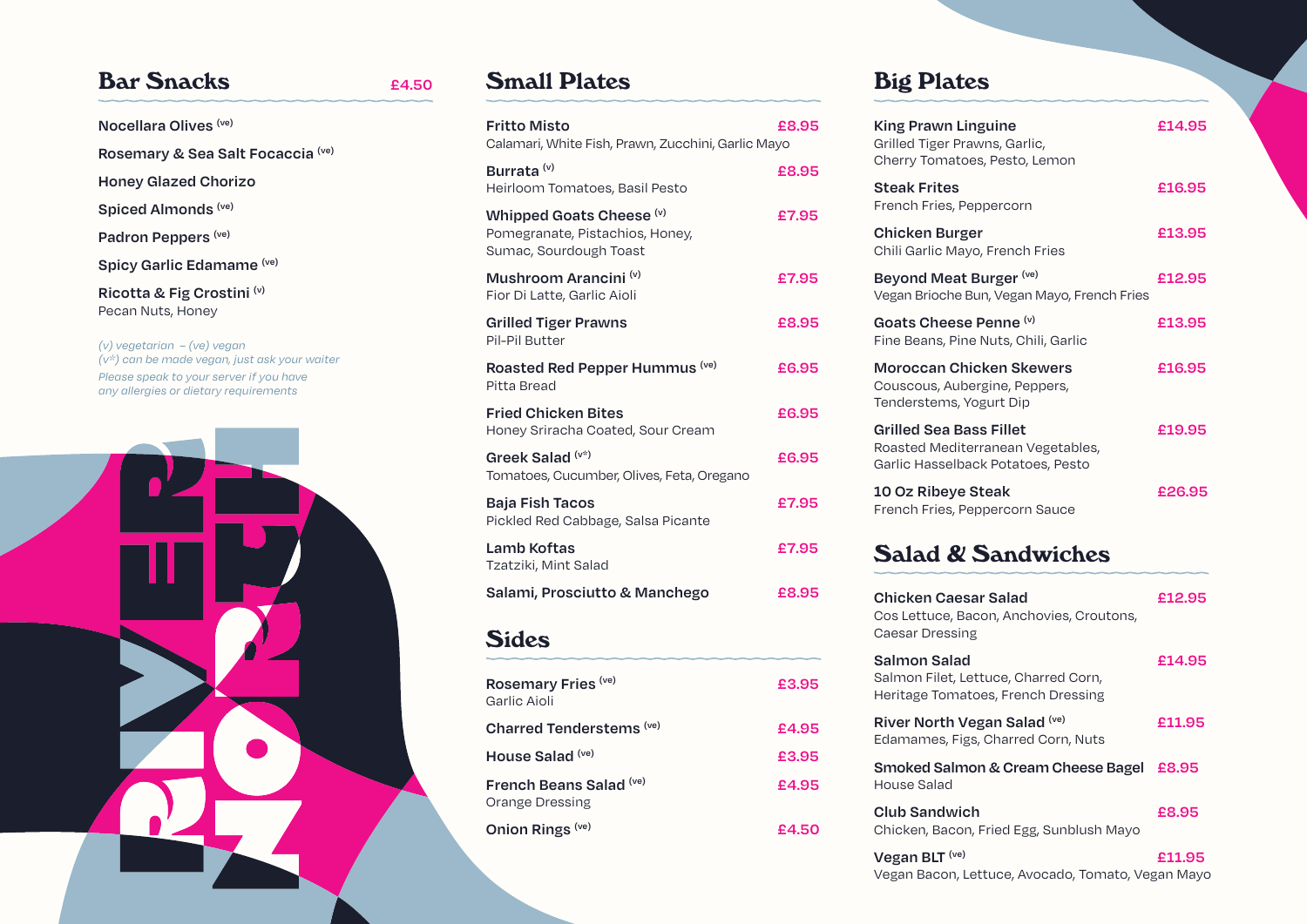## **Bar Snacks E4.50**

**Nocellara Olives (ve) Rosemary & Sea Salt Focaccia (ve) Honey Glazed Chorizo Spiced Almonds (ve) Padron Peppers (ve) Spicy Garlic Edamame (ve) Ricotta & Fig Crostini (v)** Pecan Nuts, Honey *(v) vegetarian – (ve) vegan*

*(v\*) can be made vegan, just ask your waiter Please speak to your server if you have any allergies or dietary requirements*



## **Small Plates**

| <b>Fritto Misto</b>                                                                   | £8.95 |
|---------------------------------------------------------------------------------------|-------|
| Calamari, White Fish, Prawn, Zucchini, Garlic Mayo                                    |       |
| Burrata <sup>(v)</sup><br>Heirloom Tomatoes, Basil Pesto                              | £8.95 |
|                                                                                       |       |
| Whipped Goats Cheese (v)<br>Pomegranate, Pistachios, Honey,<br>Sumac, Sourdough Toast | £7.95 |
| Mushroom Arancini (v)<br>Fior Di Latte, Garlic Aioli                                  | £7.95 |
| <b>Grilled Tiger Prawns</b><br>Pil-Pil Butter                                         | £8.95 |
| Roasted Red Pepper Hummus (ve)<br>Pitta Bread                                         | £6.95 |
| <b>Fried Chicken Bites</b><br>Honey Sriracha Coated, Sour Cream                       | £6.95 |
| Greek Salad (v*)<br>Tomatoes, Cucumber, Olives, Feta, Oregano                         | £6.95 |
| <b>Baja Fish Tacos</b><br>Pickled Red Cabbage, Salsa Picante                          | £7.95 |
| Lamb Koftas<br>Tzatziki, Mint Salad                                                   | £7.95 |
| Salami, Prosciutto & Manchego                                                         | £8.95 |
| <b>Sides</b>                                                                          |       |
| Rosemary Fries (ve)<br>Carlie Aioli                                                   | £3.95 |

| ROSEITIALY FILES<br>Garlic Aioli           | ±3.95 |
|--------------------------------------------|-------|
| Charred Tenderstems (ve)                   | £4.95 |
| House Salad (ve)                           | £3.95 |
| French Beans Salad (ve)<br>Orange Dressing | £4.95 |
| Onion Rings (ve)                           | £4.50 |

## **Big Plates**

| <b>King Prawn Linguine</b><br>Grilled Tiger Prawns, Garlic,<br>Cherry Tomatoes, Pesto, Lemon             | £14.95 |
|----------------------------------------------------------------------------------------------------------|--------|
| <b>Steak Frites</b><br>French Fries, Peppercorn                                                          | £16.95 |
| <b>Chicken Burger</b><br>Chili Garlic Mayo, French Fries                                                 | £13.95 |
| Beyond Meat Burger (ve)<br>Vegan Brioche Bun, Vegan Mayo, French Fries                                   | £12.95 |
| Goats Cheese Penne (v)<br>Fine Beans, Pine Nuts, Chili, Garlic                                           | £13.95 |
| <b>Moroccan Chicken Skewers</b><br>Couscous, Aubergine, Peppers,<br>Tenderstems, Yogurt Dip              | £16.95 |
| <b>Grilled Sea Bass Fillet</b><br>Roasted Mediterranean Vegetables,<br>Garlic Hasselback Potatoes, Pesto | £19.95 |
| 10 Oz Ribeye Steak<br>French Fries, Peppercorn Sauce                                                     | £26.95 |
| <b>Salad &amp; Sandwiches</b>                                                                            |        |
| <b>Chicken Caesar Salad</b><br>Cos Lettuce, Bacon, Anchovies, Croutons,<br><b>Caesar Dressing</b>        | £12.95 |
| Salmon Salad<br>Salmon Filet, Lettuce, Charred Corn,<br>Heritage Tomatoes, French Dressing               | £14.95 |
| River North Vegan Salad (ve)                                                                             | £11.95 |

| Smoked Salmon & Cream Cheese Bagel £8.95 |  |
|------------------------------------------|--|
| House Salad                              |  |

Edamames, Figs, Charred Corn, Nuts

**Club Sandwich £8.95** Chicken, Bacon, Fried Egg, Sunblush Mayo

**Vegan BLT (ve) £11.95** Vegan Bacon, Lettuce, Avocado, Tomato, Vegan Mayo